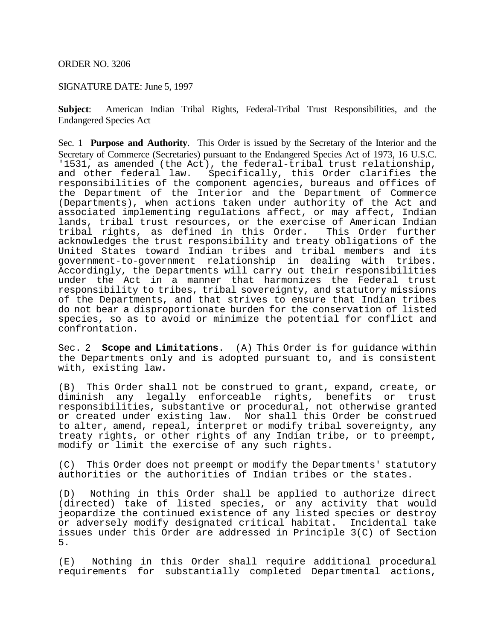## ORDER NO. 3206

# SIGNATURE DATE: June 5, 1997

**Subject**: American Indian Tribal Rights, Federal-Tribal Trust Responsibilities, and the Endangered Species Act

Sec. 1 **Purpose and Authority**. This Order is issued by the Secretary of the Interior and the Secretary of Commerce (Secretaries) pursuant to the Endangered Species Act of 1973, 16 U.S.C. '1531, as amended (the Act), the federal-tribal trust relationship,<br>and other federal law. Specifically, this Order clarifies the Specifically, this Order clarifies the responsibilities of the component agencies, bureaus and offices of the Department of the Interior and the Department of Commerce (Departments), when actions taken under authority of the Act and associated implementing regulations affect, or may affect, Indian lands, tribal trust resources, or the exercise of American Indian<br>tribal rights, as defined in this Order. This Order further tribal rights, as defined in this Order. acknowledges the trust responsibility and treaty obligations of the United States toward Indian tribes and tribal members and its government-to-government relationship in dealing with tribes. Accordingly, the Departments will carry out their responsibilities under the Act in a manner that harmonizes the Federal trust responsibility to tribes, tribal sovereignty, and statutory missions of the Departments, and that strives to ensure that Indian tribes do not bear a disproportionate burden for the conservation of listed species, so as to avoid or minimize the potential for conflict and confrontation.

Sec. 2 **Scope and Limitations**. (A) This Order is for guidance within the Departments only and is adopted pursuant to, and is consistent with, existing law.

(B) This Order shall not be construed to grant, expand, create, or diminish any legally enforceable rights, benefits or trust responsibilities, substantive or procedural, not otherwise granted or created under existing law. Nor shall this Order be construed to alter, amend, repeal, interpret or modify tribal sovereignty, any treaty rights, or other rights of any Indian tribe, or to preempt, modify or limit the exercise of any such rights.

(C) This Order does not preempt or modify the Departments' statutory authorities or the authorities of Indian tribes or the states.

(D) Nothing in this Order shall be applied to authorize direct (directed) take of listed species, or any activity that would jeopardize the continued existence of any listed species or destroy or adversely modify designated critical habitat. Incidental take issues under this Order are addressed in Principle 3(C) of Section 5.

(E) Nothing in this Order shall require additional procedural requirements for substantially completed Departmental actions,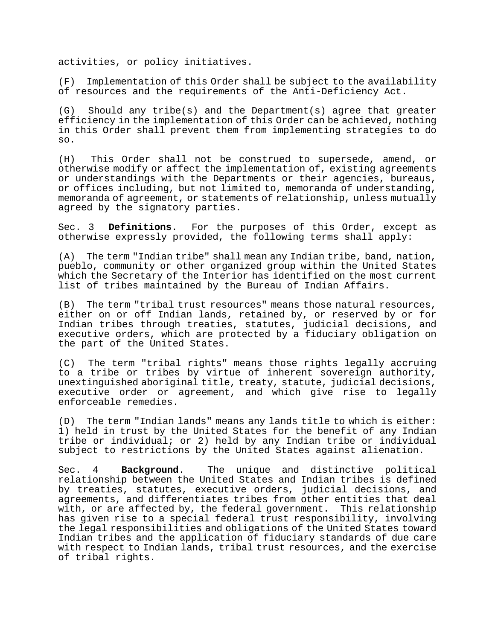activities, or policy initiatives.

(F) Implementation of this Order shall be subject to the availability of resources and the requirements of the Anti-Deficiency Act.

(G) Should any tribe(s) and the Department(s) agree that greater efficiency in the implementation of this Order can be achieved, nothing in this Order shall prevent them from implementing strategies to do so.

(H) This Order shall not be construed to supersede, amend, or otherwise modify or affect the implementation of, existing agreements or understandings with the Departments or their agencies, bureaus, or offices including, but not limited to, memoranda of understanding, memoranda of agreement, or statements of relationship, unless mutually agreed by the signatory parties.

Sec. 3 **Definitions**. For the purposes of this Order, except as otherwise expressly provided, the following terms shall apply:

(A) The term "Indian tribe" shall mean any Indian tribe, band, nation, pueblo, community or other organized group within the United States which the Secretary of the Interior has identified on the most current list of tribes maintained by the Bureau of Indian Affairs.

(B) The term "tribal trust resources" means those natural resources, either on or off Indian lands, retained by, or reserved by or for Indian tribes through treaties, statutes, judicial decisions, and executive orders, which are protected by a fiduciary obligation on the part of the United States.

(C) The term "tribal rights" means those rights legally accruing to a tribe or tribes by virtue of inherent sovereign authority, unextinguished aboriginal title, treaty, statute, judicial decisions, executive order or agreement, and which give rise to legally enforceable remedies.

(D) The term "Indian lands" means any lands title to which is either: 1) held in trust by the United States for the benefit of any Indian tribe or individual; or 2) held by any Indian tribe or individual subject to restrictions by the United States against alienation.

Sec. 4 **Background**. The unique and distinctive political relationship between the United States and Indian tribes is defined by treaties, statutes, executive orders, judicial decisions, and agreements, and differentiates tribes from other entities that deal with, or are affected by, the federal government. This relationship has given rise to a special federal trust responsibility, involving the legal responsibilities and obligations of the United States toward Indian tribes and the application of fiduciary standards of due care with respect to Indian lands, tribal trust resources, and the exercise of tribal rights.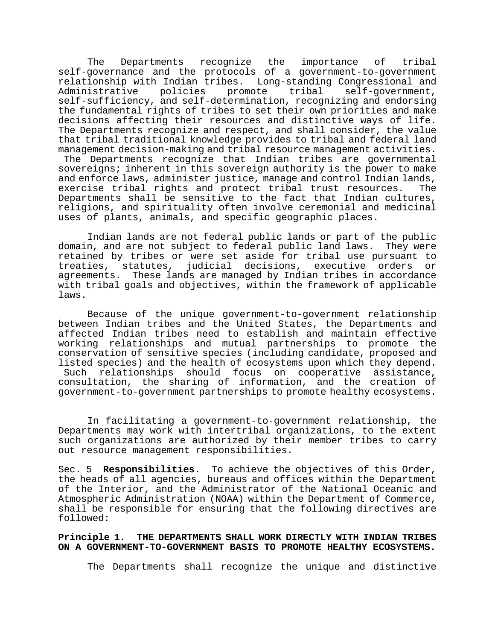The Departments recognize the importance of tribal self-governance and the protocols of a government-to-government relationship with Indian tribes. Long-standing Congressional and<br>Administrative policies promote tribal self-government, Administrative policies promote tribal self-government, self-sufficiency, and self-determination, recognizing and endorsing the fundamental rights of tribes to set their own priorities and make decisions affecting their resources and distinctive ways of life. The Departments recognize and respect, and shall consider, the value that tribal traditional knowledge provides to tribal and federal land management decision-making and tribal resource management activities. The Departments recognize that Indian tribes are governmental sovereigns; inherent in this sovereign authority is the power to make and enforce laws, administer justice, manage and control Indian lands,<br>exercise tribal rights and protect tribal trust resources. The exercise tribal rights and protect tribal trust resources. Departments shall be sensitive to the fact that Indian cultures, religions, and spirituality often involve ceremonial and medicinal uses of plants, animals, and specific geographic places.

Indian lands are not federal public lands or part of the public domain, and are not subject to federal public land laws. They were retained by tribes or were set aside for tribal use pursuant to treaties, statutes, judicial decisions, executive orders agreements. These lands are managed by Indian tribes in accordance with tribal goals and objectives, within the framework of applicable laws.

Because of the unique government-to-government relationship between Indian tribes and the United States, the Departments and affected Indian tribes need to establish and maintain effective working relationships and mutual partnerships to promote the conservation of sensitive species (including candidate, proposed and listed species) and the health of ecosystems upon which they depend. Such relationships should focus on cooperative assistance, consultation, the sharing of information, and the creation of government-to-government partnerships to promote healthy ecosystems.

In facilitating a government-to-government relationship, the Departments may work with intertribal organizations, to the extent such organizations are authorized by their member tribes to carry out resource management responsibilities.

Sec. 5 **Responsibilities**. To achieve the objectives of this Order, the heads of all agencies, bureaus and offices within the Department of the Interior, and the Administrator of the National Oceanic and Atmospheric Administration (NOAA) within the Department of Commerce, shall be responsible for ensuring that the following directives are followed:

**Principle 1. THE DEPARTMENTS SHALL WORK DIRECTLY WITH INDIAN TRIBES ON A GOVERNMENT-TO-GOVERNMENT BASIS TO PROMOTE HEALTHY ECOSYSTEMS.**

The Departments shall recognize the unique and distinctive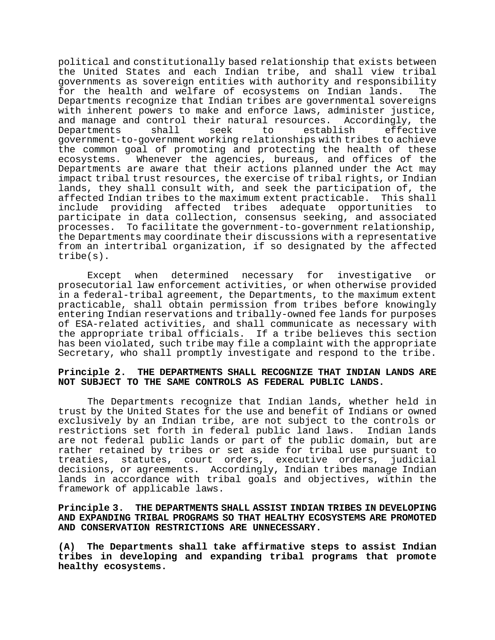political and constitutionally based relationship that exists between the United States and each Indian tribe, and shall view tribal governments as sovereign entities with authority and responsibility<br>for the health and welfare of ecosystems on Indian lands. The for the health and welfare of ecosystems on Indian lands. Departments recognize that Indian tribes are governmental sovereigns with inherent powers to make and enforce laws, administer justice,<br>and manage and control their natural resources. Accordingly, the and manage and control their natural resources. Accordingly, the<br>Departments shall seek to establish effective Departments shall seek to establish effective government-to-government working relationships with tribes to achieve the common goal of promoting and protecting the health of these ecosystems. Whenever the agencies, bureaus, and offices of the Departments are aware that their actions planned under the Act may impact tribal trust resources, the exercise of tribal rights, or Indian lands, they shall consult with, and seek the participation of, the affected Indian tribes to the maximum extent practicable. This shall<br>include providing affected tribes adequate opportunities to include providing affected tribes adequate opportunities participate in data collection, consensus seeking, and associated processes. To facilitate the government-to-government relationship, the Departments may coordinate their discussions with a representative from an intertribal organization, if so designated by the affected tribe(s).

Except when determined necessary for investigative or prosecutorial law enforcement activities, or when otherwise provided in a federal-tribal agreement, the Departments, to the maximum extent practicable, shall obtain permission from tribes before knowingly entering Indian reservations and tribally-owned fee lands for purposes of ESA-related activities, and shall communicate as necessary with the appropriate tribal officials. If a tribe believes this section has been violated, such tribe may file a complaint with the appropriate Secretary, who shall promptly investigate and respond to the tribe.

### **Principle 2. THE DEPARTMENTS SHALL RECOGNIZE THAT INDIAN LANDS ARE NOT SUBJECT TO THE SAME CONTROLS AS FEDERAL PUBLIC LANDS.**

The Departments recognize that Indian lands, whether held in trust by the United States for the use and benefit of Indians or owned exclusively by an Indian tribe, are not subject to the controls or<br>restrictions set forth in federal public land laws. Indian lands restrictions set forth in federal public land laws. are not federal public lands or part of the public domain, but are rather retained by tribes or set aside for tribal use pursuant to treaties, statutes, court orders, executive orders, judicial decisions, or agreements. Accordingly, Indian tribes manage Indian lands in accordance with tribal goals and objectives, within the framework of applicable laws.

## **Principle 3. THE DEPARTMENTS SHALL ASSIST INDIAN TRIBES IN DEVELOPING AND EXPANDING TRIBAL PROGRAMS SO THAT HEALTHY ECOSYSTEMS ARE PROMOTED AND CONSERVATION RESTRICTIONS ARE UNNECESSARY.**

**(A) The Departments shall take affirmative steps to assist Indian tribes in developing and expanding tribal programs that promote healthy ecosystems.**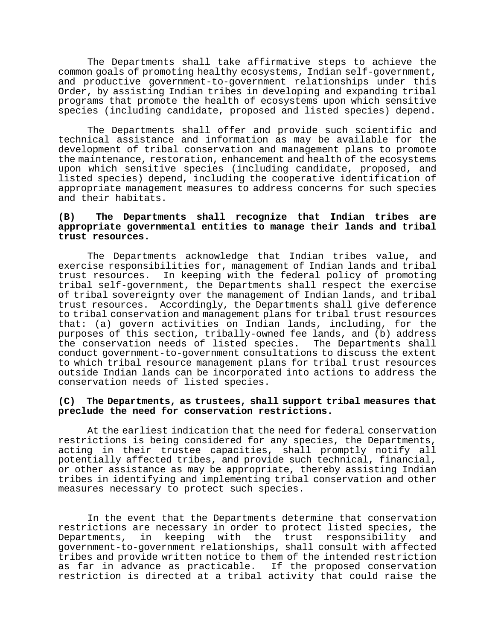The Departments shall take affirmative steps to achieve the common goals of promoting healthy ecosystems, Indian self-government, and productive government-to-government relationships under this Order, by assisting Indian tribes in developing and expanding tribal programs that promote the health of ecosystems upon which sensitive species (including candidate, proposed and listed species) depend.

The Departments shall offer and provide such scientific and technical assistance and information as may be available for the development of tribal conservation and management plans to promote the maintenance, restoration, enhancement and health of the ecosystems upon which sensitive species (including candidate, proposed, and listed species) depend, including the cooperative identification of appropriate management measures to address concerns for such species and their habitats.

### **(B) The Departments shall recognize that Indian tribes are appropriate governmental entities to manage their lands and tribal trust resources.**

The Departments acknowledge that Indian tribes value, and exercise responsibilities for, management of Indian lands and tribal trust resources. In keeping with the federal policy of promoting tribal self-government, the Departments shall respect the exercise of tribal sovereignty over the management of Indian lands, and tribal trust resources. Accordingly, the Departments shall give deference to tribal conservation and management plans for tribal trust resources that: (a) govern activities on Indian lands, including, for the purposes of this section, tribally-owned fee lands, and (b) address the conservation needs of listed species. The Departments shall conduct government-to-government consultations to discuss the extent to which tribal resource management plans for tribal trust resources outside Indian lands can be incorporated into actions to address the conservation needs of listed species.

### **(C) The Departments, as trustees, shall support tribal measures that preclude the need for conservation restrictions.**

At the earliest indication that the need for federal conservation restrictions is being considered for any species, the Departments, acting in their trustee capacities, shall promptly notify all potentially affected tribes, and provide such technical, financial, or other assistance as may be appropriate, thereby assisting Indian tribes in identifying and implementing tribal conservation and other measures necessary to protect such species.

In the event that the Departments determine that conservation restrictions are necessary in order to protect listed species, the Departments, in keeping with the trust responsibility government-to-government relationships, shall consult with affected tribes and provide written notice to them of the intended restriction as far in advance as practicable. If the proposed conservation restriction is directed at a tribal activity that could raise the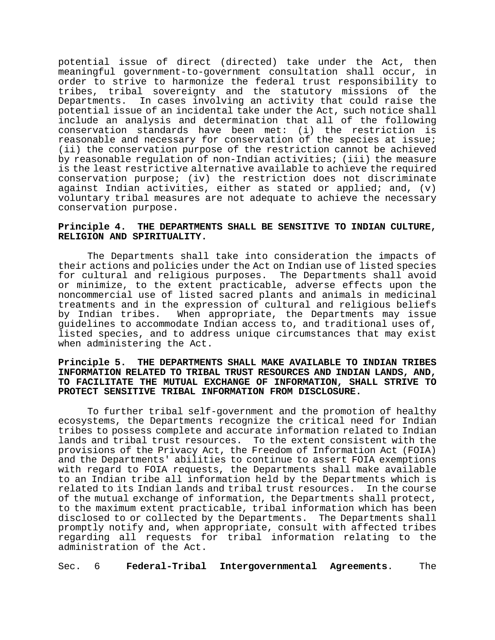potential issue of direct (directed) take under the Act, then meaningful government-to-government consultation shall occur, in order to strive to harmonize the federal trust responsibility to tribes, tribal sovereignty and the statutory missions of the In cases involving an activity that could raise the potential issue of an incidental take under the Act, such notice shall include an analysis and determination that all of the following conservation standards have been met: (i) the restriction is reasonable and necessary for conservation of the species at issue; (ii) the conservation purpose of the restriction cannot be achieved by reasonable regulation of non-Indian activities; (iii) the measure is the least restrictive alternative available to achieve the required conservation purpose; (iv) the restriction does not discriminate against Indian activities, either as stated or applied; and, (v) voluntary tribal measures are not adequate to achieve the necessary conservation purpose.

### **Principle 4. THE DEPARTMENTS SHALL BE SENSITIVE TO INDIAN CULTURE, RELIGION AND SPIRITUALITY.**

The Departments shall take into consideration the impacts of their actions and policies under the Act on Indian use of listed species for cultural and religious purposes. The Departments shall avoid or minimize, to the extent practicable, adverse effects upon the noncommercial use of listed sacred plants and animals in medicinal treatments and in the expression of cultural and religious beliefs When appropriate, the Departments may issue guidelines to accommodate Indian access to, and traditional uses of, listed species, and to address unique circumstances that may exist when administering the Act.

### **Principle 5. THE DEPARTMENTS SHALL MAKE AVAILABLE TO INDIAN TRIBES INFORMATION RELATED TO TRIBAL TRUST RESOURCES AND INDIAN LANDS, AND, TO FACILITATE THE MUTUAL EXCHANGE OF INFORMATION, SHALL STRIVE TO PROTECT SENSITIVE TRIBAL INFORMATION FROM DISCLOSURE.**

To further tribal self-government and the promotion of healthy ecosystems, the Departments recognize the critical need for Indian tribes to possess complete and accurate information related to Indian lands and tribal trust resources. To the extent consistent with the provisions of the Privacy Act, the Freedom of Information Act (FOIA) and the Departments' abilities to continue to assert FOIA exemptions with regard to FOIA requests, the Departments shall make available to an Indian tribe all information held by the Departments which is related to its Indian lands and tribal trust resources. In the course of the mutual exchange of information, the Departments shall protect, to the maximum extent practicable, tribal information which has been disclosed to or collected by the Departments. The Departments shall promptly notify and, when appropriate, consult with affected tribes regarding all requests for tribal information relating to the administration of the Act.

Sec. 6 **Federal-Tribal Intergovernmental Agreements**. The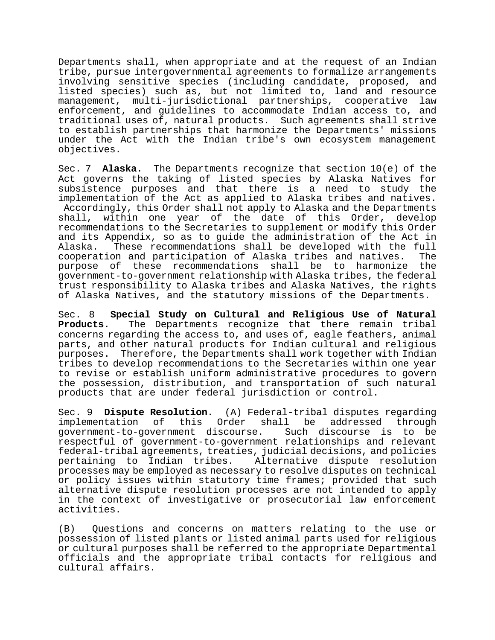Departments shall, when appropriate and at the request of an Indian tribe, pursue intergovernmental agreements to formalize arrangements involving sensitive species (including candidate, proposed, and listed species) such as, but not limited to, land and resource management, multi-jurisdictional partnerships, cooperative law enforcement, and guidelines to accommodate Indian access to, and traditional uses of, natural products. Such agreements shall strive to establish partnerships that harmonize the Departments' missions under the Act with the Indian tribe's own ecosystem management objectives.

Sec. 7 **Alaska**. The Departments recognize that section 10(e) of the Act governs the taking of listed species by Alaska Natives for subsistence purposes and that there is a need to study the implementation of the Act as applied to Alaska tribes and natives. Accordingly, this Order shall not apply to Alaska and the Departments shall, within one year of the date of this Order, develop recommendations to the Secretaries to supplement or modify this Order and its Appendix, so as to guide the administration of the Act in These recommendations shall be developed with the full<br>on and participation of Alaska tribes and natives. The cooperation and participation of Alaska tribes and natives. purpose of these recommendations shall be to harmonize the government-to-government relationship with Alaska tribes, the federal trust responsibility to Alaska tribes and Alaska Natives, the rights of Alaska Natives, and the statutory missions of the Departments.

Sec. 8 **Special Study on Cultural and Religious Use of Natural Products**. The Departments recognize that there remain tribal concerns regarding the access to, and uses of, eagle feathers, animal parts, and other natural products for Indian cultural and religious purposes. Therefore, the Departments shall work together with Indian tribes to develop recommendations to the Secretaries within one year to revise or establish uniform administrative procedures to govern the possession, distribution, and transportation of such natural products that are under federal jurisdiction or control.

Sec. 9 **Dispute Resolution**. (A) Federal-tribal disputes regarding this Order shall be government-to-government discourse. Such discourse is to be respectful of government-to-government relationships and relevant federal-tribal agreements, treaties, judicial decisions, and policies pertaining to Indian tribes. processes may be employed as necessary to resolve disputes on technical or policy issues within statutory time frames; provided that such alternative dispute resolution processes are not intended to apply in the context of investigative or prosecutorial law enforcement activities.

(B) Questions and concerns on matters relating to the use or possession of listed plants or listed animal parts used for religious or cultural purposes shall be referred to the appropriate Departmental officials and the appropriate tribal contacts for religious and cultural affairs.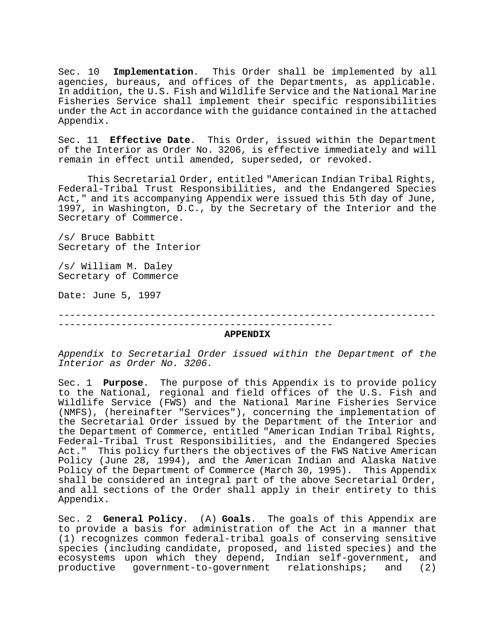Sec. 10 **Implementation**. This Order shall be implemented by all agencies, bureaus, and offices of the Departments, as applicable. In addition, the U.S. Fish and Wildlife Service and the National Marine Fisheries Service shall implement their specific responsibilities under the Act in accordance with the guidance contained in the attached Appendix.

Sec. 11 **Effective Date**. This Order, issued within the Department of the Interior as Order No. 3206, is effective immediately and will remain in effect until amended, superseded, or revoked.

This Secretarial Order, entitled "American Indian Tribal Rights, Federal-Tribal Trust Responsibilities, and the Endangered Species Act," and its accompanying Appendix were issued this 5th day of June, 1997, in Washington, D.C., by the Secretary of the Interior and the Secretary of Commerce.

/s/ Bruce Babbitt Secretary of the Interior

/s/ William M. Daley Secretary of Commerce

Date: June 5, 1997

------------------------------------------------------------------ ------------------------------------------------ **APPENDIX**

*Appendix to Secretarial Order issued within the Department of the Interior as Order No. 3206.*

Sec. 1 **Purpose**. The purpose of this Appendix is to provide policy to the National, regional and field offices of the U.S. Fish and Wildlife Service (FWS) and the National Marine Fisheries Service (NMFS), (hereinafter "Services"), concerning the implementation of the Secretarial Order issued by the Department of the Interior and the Department of Commerce, entitled "American Indian Tribal Rights, Federal-Tribal Trust Responsibilities, and the Endangered Species Act." This policy furthers the objectives of the FWS Native American Policy (June 28, 1994), and the American Indian and Alaska Native Policy of the Department of Commerce (March 30, 1995). This Appendix shall be considered an integral part of the above Secretarial Order, and all sections of the Order shall apply in their entirety to this Appendix.

Sec. 2 **General Policy**. (A) **Goals**. The goals of this Appendix are to provide a basis for administration of the Act in a manner that (1) recognizes common federal-tribal goals of conserving sensitive species (including candidate, proposed, and listed species) and the ecosystems upon which they depend, Indian self-government, and<br>productive government-to-government relationships; and (2) productive government-to-government relationships;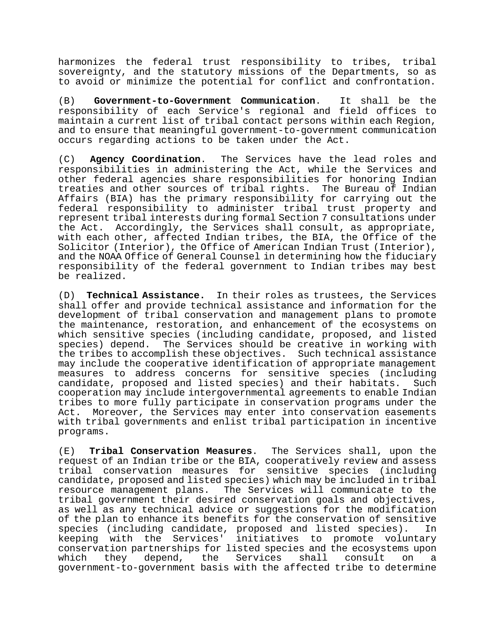harmonizes the federal trust responsibility to tribes, tribal sovereignty, and the statutory missions of the Departments, so as to avoid or minimize the potential for conflict and confrontation.

(B) **Government-to-Government Communication**. It shall be the responsibility of each Service's regional and field offices to maintain a current list of tribal contact persons within each Region, and to ensure that meaningful government-to-government communication occurs regarding actions to be taken under the Act.

(C) **Agency Coordination**. The Services have the lead roles and responsibilities in administering the Act, while the Services and other federal agencies share responsibilities for honoring Indian treaties and other sources of tribal rights. The Bureau of Indian Affairs (BIA) has the primary responsibility for carrying out the federal responsibility to administer tribal trust property and represent tribal interests during formal Section 7 consultations under the Act. Accordingly, the Services shall consult, as appropriate, with each other, affected Indian tribes, the BIA, the Office of the Solicitor (Interior), the Office of American Indian Trust (Interior), and the NOAA Office of General Counsel in determining how the fiduciary responsibility of the federal government to Indian tribes may best be realized.

(D) **Technical Assistance.** In their roles as trustees, the Services shall offer and provide technical assistance and information for the development of tribal conservation and management plans to promote the maintenance, restoration, and enhancement of the ecosystems on which sensitive species (including candidate, proposed, and listed species) depend. The Services should be creative in working with the tribes to accomplish these objectives. Such technical assistance may include the cooperative identification of appropriate management measures to address concerns for sensitive species (including candidate, proposed and listed species) and their habitats. cooperation may include intergovernmental agreements to enable Indian tribes to more fully participate in conservation programs under the Act. Moreover, the Services may enter into conservation easements with tribal governments and enlist tribal participation in incentive programs.

(E) **Tribal Conservation Measures**. The Services shall, upon the request of an Indian tribe or the BIA, cooperatively review and assess tribal conservation measures for sensitive species (including candidate, proposed and listed species) which may be included in tribal resource management plans. The Services will communicate to the tribal government their desired conservation goals and objectives, as well as any technical advice or suggestions for the modification of the plan to enhance its benefits for the conservation of sensitive<br>species (including candidate, proposed and listed species). In species (including candidate, proposed and listed species). keeping with the Services' initiatives to promote voluntary conservation partnerships for listed species and the ecosystems upon<br>which they depend, the Services shall consult on a Services shall government-to-government basis with the affected tribe to determine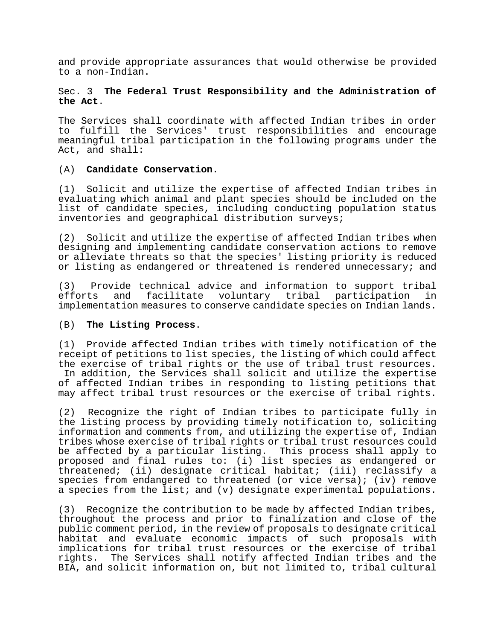and provide appropriate assurances that would otherwise be provided to a non-Indian.

# Sec. 3 **The Federal Trust Responsibility and the Administration of the Act**.

The Services shall coordinate with affected Indian tribes in order to fulfill the Services' trust responsibilities and encourage meaningful tribal participation in the following programs under the Act, and shall:

# (A) **Candidate Conservation**.

(1) Solicit and utilize the expertise of affected Indian tribes in evaluating which animal and plant species should be included on the list of candidate species, including conducting population status inventories and geographical distribution surveys;

(2) Solicit and utilize the expertise of affected Indian tribes when designing and implementing candidate conservation actions to remove or alleviate threats so that the species' listing priority is reduced or listing as endangered or threatened is rendered unnecessary; and

(3) Provide technical advice and information to support tribal<br>efforts and facilitate voluntary tribal participation in and facilitate voluntary tribal implementation measures to conserve candidate species on Indian lands.

### (B) **The Listing Process**.

(1) Provide affected Indian tribes with timely notification of the receipt of petitions to list species, the listing of which could affect the exercise of tribal rights or the use of tribal trust resources. In addition, the Services shall solicit and utilize the expertise of affected Indian tribes in responding to listing petitions that may affect tribal trust resources or the exercise of tribal rights.

(2) Recognize the right of Indian tribes to participate fully in the listing process by providing timely notification to, soliciting information and comments from, and utilizing the expertise of, Indian tribes whose exercise of tribal rights or tribal trust resources could be affected by a particular listing. This process shall apply to proposed and final rules to: (i) list species as endangered or threatened; (ii) designate critical habitat; (iii) reclassify a species from endangered to threatened (or vice versa); (iv) remove a species from the list; and (v) designate experimental populations.

(3) Recognize the contribution to be made by affected Indian tribes, throughout the process and prior to finalization and close of the public comment period, in the review of proposals to designate critical habitat and evaluate economic impacts of such proposals with implications for tribal trust resources or the exercise of tribal The Services shall notify affected Indian tribes and the BIA, and solicit information on, but not limited to, tribal cultural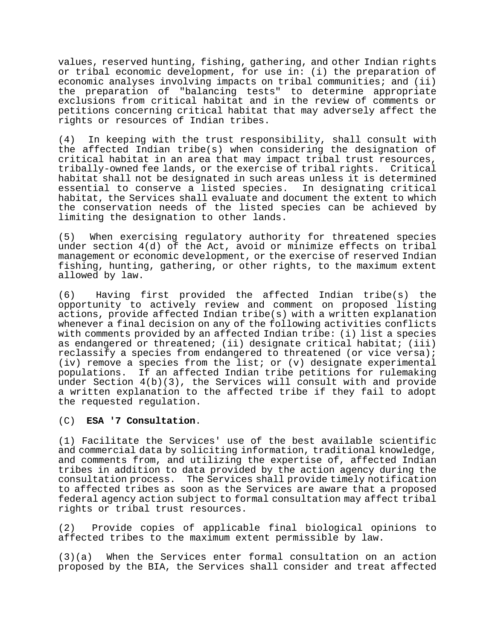values, reserved hunting, fishing, gathering, and other Indian rights or tribal economic development, for use in: (i) the preparation of economic analyses involving impacts on tribal communities; and (ii) the preparation of "balancing tests" to determine appropriate exclusions from critical habitat and in the review of comments or petitions concerning critical habitat that may adversely affect the rights or resources of Indian tribes.

(4) In keeping with the trust responsibility, shall consult with the affected Indian tribe(s) when considering the designation of critical habitat in an area that may impact tribal trust resources, tribally-owned fee lands, or the exercise of tribal rights. Critical habitat shall not be designated in such areas unless it is determined<br>essential to conserve a listed species. In designating critical essential to conserve a listed species. habitat, the Services shall evaluate and document the extent to which the conservation needs of the listed species can be achieved by limiting the designation to other lands.

(5) When exercising regulatory authority for threatened species under section 4(d) of the Act, avoid or minimize effects on tribal management or economic development, or the exercise of reserved Indian fishing, hunting, gathering, or other rights, to the maximum extent allowed by law.

(6) Having first provided the affected Indian tribe(s) the opportunity to actively review and comment on proposed listing actions, provide affected Indian tribe(s) with a written explanation whenever a final decision on any of the following activities conflicts with comments provided by an affected Indian tribe: (i) list a species as endangered or threatened; (ii) designate critical habitat; (iii) reclassify a species from endangered to threatened (or vice versa); (iv) remove a species from the list; or (v) designate experimental populations. If an affected Indian tribe petitions for rulemaking under Section 4(b)(3), the Services will consult with and provide a written explanation to the affected tribe if they fail to adopt the requested regulation.

### (C) **ESA '7 Consultation**.

(1) Facilitate the Services' use of the best available scientific and commercial data by soliciting information, traditional knowledge, and comments from, and utilizing the expertise of, affected Indian tribes in addition to data provided by the action agency during the consultation process. The Services shall provide timely notification to affected tribes as soon as the Services are aware that a proposed federal agency action subject to formal consultation may affect tribal rights or tribal trust resources.

(2) Provide copies of applicable final biological opinions to affected tribes to the maximum extent permissible by law.

(3)(a) When the Services enter formal consultation on an action proposed by the BIA, the Services shall consider and treat affected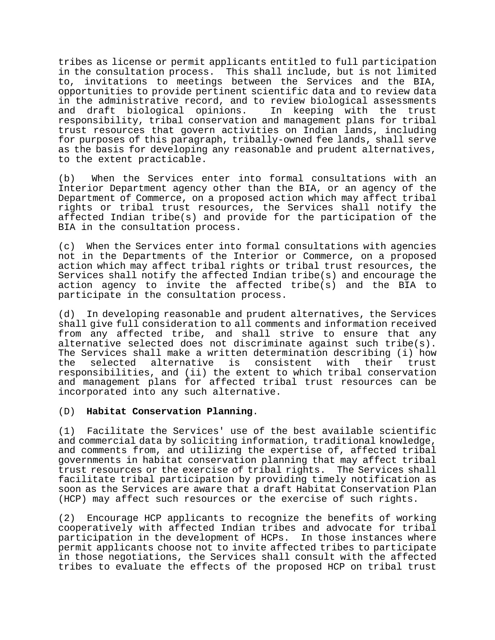tribes as license or permit applicants entitled to full participation in the consultation process. This shall include, but is not limited to, invitations to meetings between the Services and the BIA, opportunities to provide pertinent scientific data and to review data in the administrative record, and to review biological assessments<br>and draft biological opinions. In keeping with the trust and draft biological opinions. responsibility, tribal conservation and management plans for tribal trust resources that govern activities on Indian lands, including for purposes of this paragraph, tribally-owned fee lands, shall serve as the basis for developing any reasonable and prudent alternatives, to the extent practicable.

(b) When the Services enter into formal consultations with an Interior Department agency other than the BIA, or an agency of the Department of Commerce, on a proposed action which may affect tribal rights or tribal trust resources, the Services shall notify the affected Indian tribe(s) and provide for the participation of the BIA in the consultation process.

(c) When the Services enter into formal consultations with agencies not in the Departments of the Interior or Commerce, on a proposed action which may affect tribal rights or tribal trust resources, the Services shall notify the affected Indian tribe(s) and encourage the action agency to invite the affected tribe(s) and the BIA to participate in the consultation process.

(d) In developing reasonable and prudent alternatives, the Services shall give full consideration to all comments and information received from any affected tribe, and shall strive to ensure that any alternative selected does not discriminate against such tribe(s). The Services shall make a written determination describing (i) how<br>the selected alternative is consistent with their trust the selected alternative is consistent with their trust responsibilities, and (ii) the extent to which tribal conservation and management plans for affected tribal trust resources can be incorporated into any such alternative.

### (D) **Habitat Conservation Planning**.

(1) Facilitate the Services' use of the best available scientific and commercial data by soliciting information, traditional knowledge, and comments from, and utilizing the expertise of, affected tribal governments in habitat conservation planning that may affect tribal trust resources or the exercise of tribal rights. The Services shall facilitate tribal participation by providing timely notification as soon as the Services are aware that a draft Habitat Conservation Plan (HCP) may affect such resources or the exercise of such rights.

(2) Encourage HCP applicants to recognize the benefits of working cooperatively with affected Indian tribes and advocate for tribal participation in the development of HCPs. In those instances where permit applicants choose not to invite affected tribes to participate in those negotiations, the Services shall consult with the affected tribes to evaluate the effects of the proposed HCP on tribal trust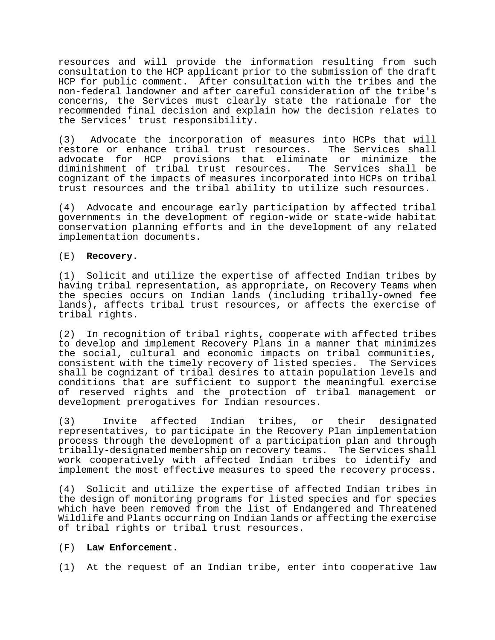resources and will provide the information resulting from such consultation to the HCP applicant prior to the submission of the draft HCP for public comment. After consultation with the tribes and the non-federal landowner and after careful consideration of the tribe's concerns, the Services must clearly state the rationale for the recommended final decision and explain how the decision relates to the Services' trust responsibility.

(3) Advocate the incorporation of measures into HCPs that will<br>restore or enhance tribal trust resources. The Services shall restore or enhance tribal trust resources. advocate for HCP provisions that eliminate or minimize the diminishment of tribal trust resources. The Services shall be cognizant of the impacts of measures incorporated into HCPs on tribal trust resources and the tribal ability to utilize such resources.

(4) Advocate and encourage early participation by affected tribal governments in the development of region-wide or state-wide habitat conservation planning efforts and in the development of any related implementation documents.

# (E) **Recovery**.

(1) Solicit and utilize the expertise of affected Indian tribes by having tribal representation, as appropriate, on Recovery Teams when the species occurs on Indian lands (including tribally-owned fee lands), affects tribal trust resources, or affects the exercise of tribal rights.

(2) In recognition of tribal rights, cooperate with affected tribes to develop and implement Recovery Plans in a manner that minimizes the social, cultural and economic impacts on tribal communities, consistent with the timely recovery of listed species. The Services shall be cognizant of tribal desires to attain population levels and conditions that are sufficient to support the meaningful exercise of reserved rights and the protection of tribal management or development prerogatives for Indian resources.

(3) Invite affected Indian tribes, or their designated representatives, to participate in the Recovery Plan implementation process through the development of a participation plan and through tribally-designated membership on recovery teams. The Services shall work cooperatively with affected Indian tribes to identify and implement the most effective measures to speed the recovery process.

(4) Solicit and utilize the expertise of affected Indian tribes in the design of monitoring programs for listed species and for species which have been removed from the list of Endangered and Threatened Wildlife and Plants occurring on Indian lands or affecting the exercise of tribal rights or tribal trust resources.

### (F) **Law Enforcement**.

(1) At the request of an Indian tribe, enter into cooperative law